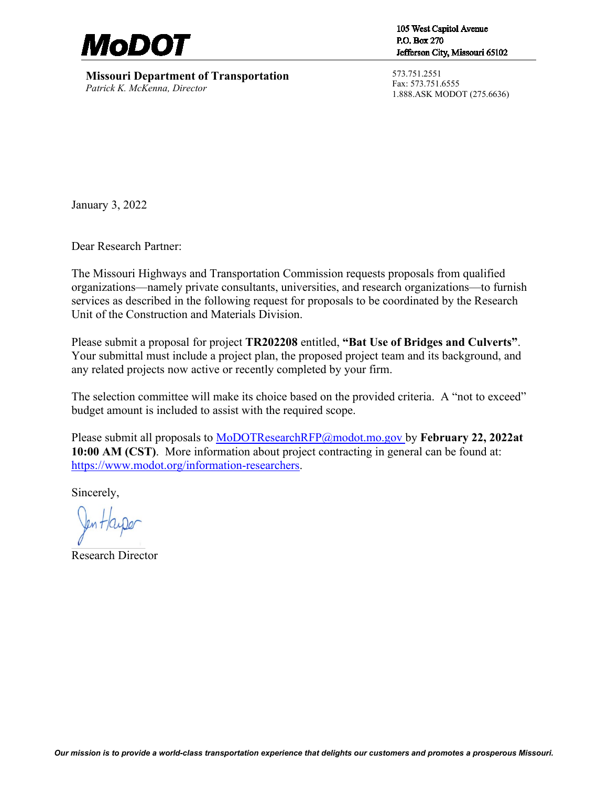

**Missouri Department of Transportation** *Patrick K. McKenna, Director*

105 West Capitol Avenue P.O. Box 270 Jefferson City, Missouri 65102

573.751.2551 Fax: 573.751.6555 1.888.ASK MODOT (275.6636)

January 3, 2022

Dear Research Partner:

The Missouri Highways and Transportation Commission requests proposals from qualified organizations—namely private consultants, universities, and research organizations—to furnish services as described in the following request for proposals to be coordinated by the Research Unit of the Construction and Materials Division.

Please submit a proposal for project **TR202208** entitled, **"Bat Use of Bridges and Culverts"**. Your submittal must include a project plan, the proposed project team and its background, and any related projects now active or recently completed by your firm.

The selection committee will make its choice based on the provided criteria. A "not to exceed" budget amount is included to assist with the required scope.

Please submit all proposals to [MoDOTResearchRFP@modot.mo.gov](mailto:MoDOTResearchRFP@modot.mo.gov) by **February 22, 2022at 10:00 AM (CST)**. More information about project contracting in general can be found at: [https://www.modot.org/information-researchers.](https://www.modot.org/information-researchers)

Sincerely,

Research Director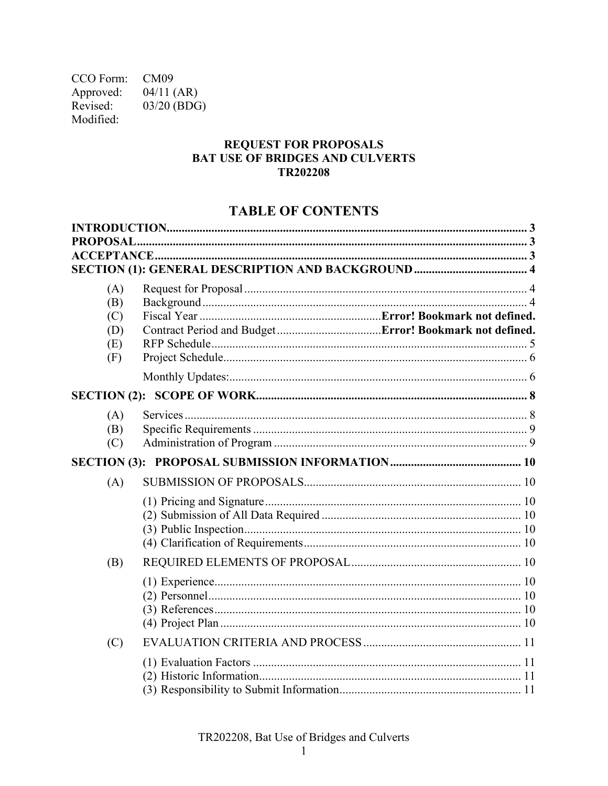CCO Form: CM09  $04/11$  (AR) Approved: Revised: 03/20 (BDG) Modified:

#### **REQUEST FOR PROPOSALS BAT USE OF BRIDGES AND CULVERTS** TR202208

# **TABLE OF CONTENTS**

| PROPOSAL.  |  |
|------------|--|
|            |  |
|            |  |
| (A)        |  |
| (B)        |  |
| (C)        |  |
| (D)        |  |
| (E)<br>(F) |  |
|            |  |
|            |  |
|            |  |
| (A)        |  |
| (B)        |  |
| (C)        |  |
|            |  |
| (A)        |  |
|            |  |
|            |  |
|            |  |
|            |  |
| (B)        |  |
|            |  |
|            |  |
|            |  |
|            |  |
| (C)        |  |
|            |  |
|            |  |
|            |  |

TR202208, Bat Use of Bridges and Culverts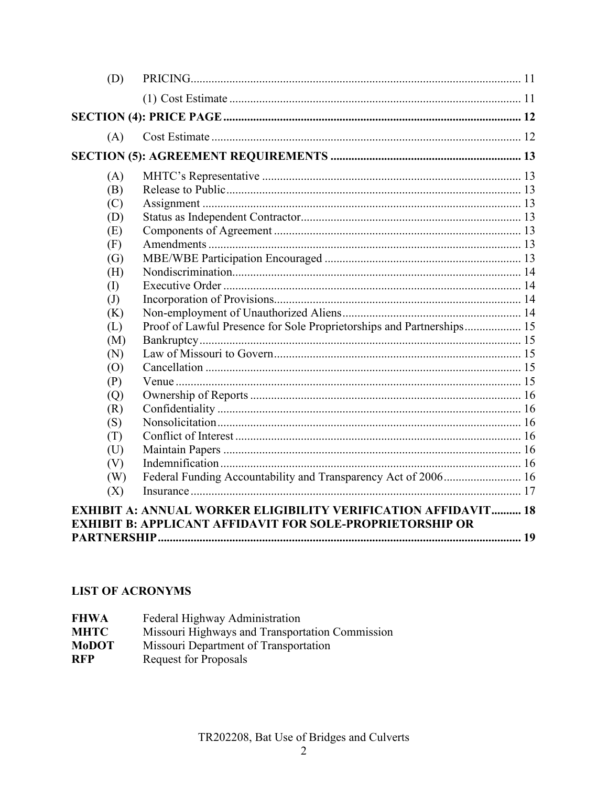| (D)                        |                                                                       |  |
|----------------------------|-----------------------------------------------------------------------|--|
|                            |                                                                       |  |
|                            |                                                                       |  |
| (A)                        |                                                                       |  |
|                            |                                                                       |  |
| (A)                        |                                                                       |  |
| (B)                        |                                                                       |  |
| (C)                        |                                                                       |  |
| (D)                        |                                                                       |  |
| (E)                        |                                                                       |  |
| (F)                        |                                                                       |  |
| (G)                        |                                                                       |  |
| (H)                        |                                                                       |  |
| (I)                        |                                                                       |  |
| $\left( \mathrm{J}\right)$ |                                                                       |  |
| (K)                        |                                                                       |  |
| (L)                        | Proof of Lawful Presence for Sole Proprietorships and Partnerships 15 |  |
| (M)                        |                                                                       |  |
| (N)                        |                                                                       |  |
| (O)                        |                                                                       |  |
| (P)                        |                                                                       |  |
| (Q)                        |                                                                       |  |
| (R)                        |                                                                       |  |
| (S)                        |                                                                       |  |
| (T)                        |                                                                       |  |
| (U)                        |                                                                       |  |
| (V)                        |                                                                       |  |
| (W)                        |                                                                       |  |
| (X)                        |                                                                       |  |
|                            | <b>EXHIBIT A: ANNUAL WORKER ELIGIBILITY VERIFICATION AFFIDAVIT 18</b> |  |
|                            | <b>EXHIBIT B: APPLICANT AFFIDAVIT FOR SOLE-PROPRIETORSHIP OR</b>      |  |
|                            |                                                                       |  |

# **LIST OF ACRONYMS**

| <b>FHWA</b>  | Federal Highway Administration                  |
|--------------|-------------------------------------------------|
| <b>MHTC</b>  | Missouri Highways and Transportation Commission |
| <b>MoDOT</b> | Missouri Department of Transportation           |
| <b>RFP</b>   | Request for Proposals                           |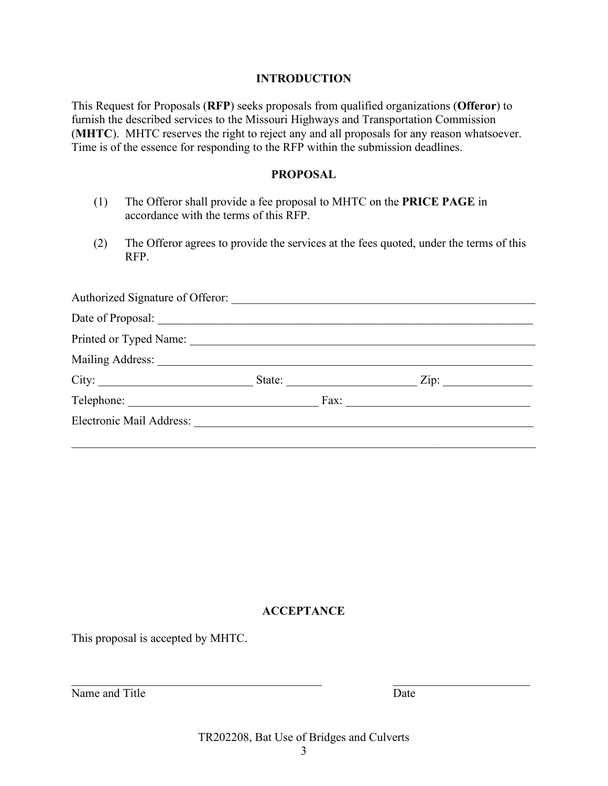#### **INTRODUCTION**

<span id="page-3-0"></span>This Request for Proposals (**RFP**) seeks proposals from qualified organizations (**Offeror**) to furnish the described services to the Missouri Highways and Transportation Commission (**MHTC**). MHTC reserves the right to reject any and all proposals for any reason whatsoever. Time is of the essence for responding to the RFP within the submission deadlines.

#### **PROPOSAL**

- <span id="page-3-1"></span>(1) The Offeror shall provide a fee proposal to MHTC on the **PRICE PAGE** in accordance with the terms of this RFP.
- (2) The Offeror agrees to provide the services at the fees quoted, under the terms of this RFP.

<span id="page-3-2"></span>

| Authorized Signature of Offeror: |               |                           |
|----------------------------------|---------------|---------------------------|
|                                  |               |                           |
| Printed or Typed Name:           |               |                           |
| Mailing Address:                 |               |                           |
|                                  | State:        | $\overline{\text{Zip: }}$ |
|                                  | $\text{Fax:}$ |                           |
| Electronic Mail Address:         |               |                           |
|                                  |               |                           |

#### **ACCEPTANCE**

This proposal is accepted by MHTC.

Name and Title Date

TR202208, Bat Use of Bridges and Culverts

 $\mathcal{L}_\text{max}$  , and the contribution of the contribution of the contribution of the contribution of the contribution of the contribution of the contribution of the contribution of the contribution of the contribution of t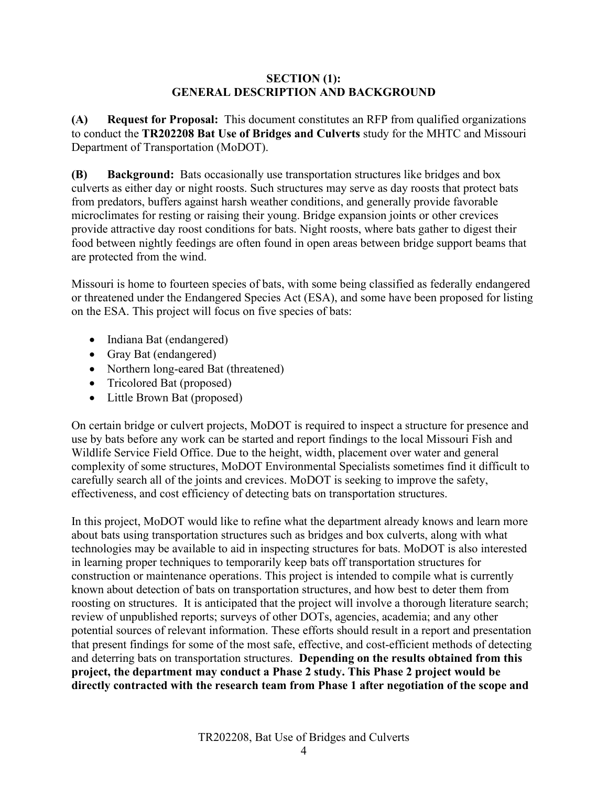#### **SECTION (1): GENERAL DESCRIPTION AND BACKGROUND**

<span id="page-4-1"></span><span id="page-4-0"></span>**(A) Request for Proposal:** This document constitutes an RFP from qualified organizations to conduct the **TR202208 Bat Use of Bridges and Culverts** study for the MHTC and Missouri Department of Transportation (MoDOT).

<span id="page-4-2"></span>**(B) Background:** Bats occasionally use transportation structures like bridges and box culverts as either day or night roosts. Such structures may serve as day roosts that protect bats from predators, buffers against harsh weather conditions, and generally provide favorable microclimates for resting or raising their young. Bridge expansion joints or other crevices provide attractive day roost conditions for bats. Night roosts, where bats gather to digest their food between nightly feedings are often found in open areas between bridge support beams that are protected from the wind.

Missouri is home to fourteen species of bats, with some being classified as federally endangered or threatened under the Endangered Species Act (ESA), and some have been proposed for listing on the ESA. This project will focus on five species of bats:

- Indiana Bat (endangered)
- Gray Bat (endangered)
- Northern long-eared Bat (threatened)
- Tricolored Bat (proposed)
- Little Brown Bat (proposed)

On certain bridge or culvert projects, MoDOT is required to inspect a structure for presence and use by bats before any work can be started and report findings to the local Missouri Fish and Wildlife Service Field Office. Due to the height, width, placement over water and general complexity of some structures, MoDOT Environmental Specialists sometimes find it difficult to carefully search all of the joints and crevices. MoDOT is seeking to improve the safety, effectiveness, and cost efficiency of detecting bats on transportation structures.

In this project, MoDOT would like to refine what the department already knows and learn more about bats using transportation structures such as bridges and box culverts, along with what technologies may be available to aid in inspecting structures for bats. MoDOT is also interested in learning proper techniques to temporarily keep bats off transportation structures for construction or maintenance operations. This project is intended to compile what is currently known about detection of bats on transportation structures, and how best to deter them from roosting on structures. It is anticipated that the project will involve a thorough literature search; review of unpublished reports; surveys of other DOTs, agencies, academia; and any other potential sources of relevant information. These efforts should result in a report and presentation that present findings for some of the most safe, effective, and cost-efficient methods of detecting and deterring bats on transportation structures. **Depending on the results obtained from this project, the department may conduct a Phase 2 study. This Phase 2 project would be directly contracted with the research team from Phase 1 after negotiation of the scope and**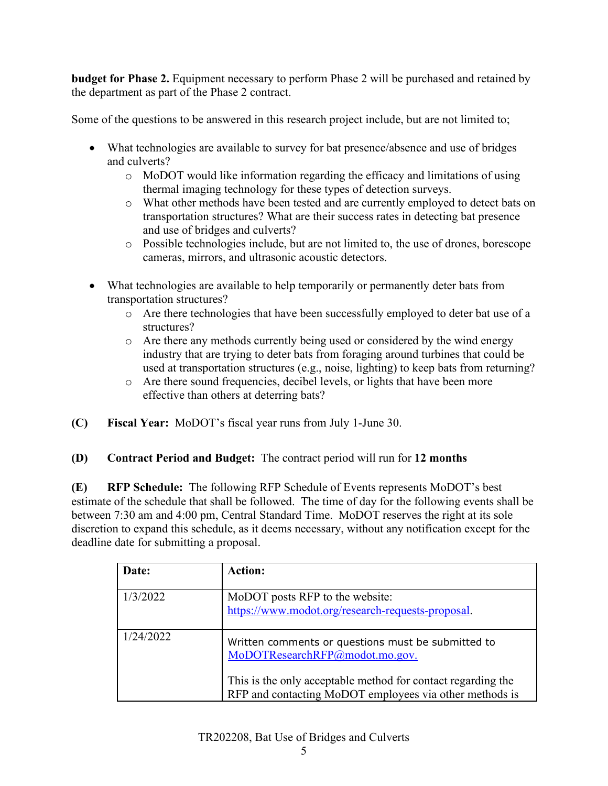**budget for Phase 2.** Equipment necessary to perform Phase 2 will be purchased and retained by the department as part of the Phase 2 contract.

Some of the questions to be answered in this research project include, but are not limited to;

- What technologies are available to survey for bat presence/absence and use of bridges and culverts?
	- o MoDOT would like information regarding the efficacy and limitations of using thermal imaging technology for these types of detection surveys.
	- o What other methods have been tested and are currently employed to detect bats on transportation structures? What are their success rates in detecting bat presence and use of bridges and culverts?
	- o Possible technologies include, but are not limited to, the use of drones, borescope cameras, mirrors, and ultrasonic acoustic detectors.
- What technologies are available to help temporarily or permanently deter bats from transportation structures?
	- o Are there technologies that have been successfully employed to deter bat use of a structures?
	- o Are there any methods currently being used or considered by the wind energy industry that are trying to deter bats from foraging around turbines that could be used at transportation structures (e.g., noise, lighting) to keep bats from returning?
	- o Are there sound frequencies, decibel levels, or lights that have been more effective than others at deterring bats?
- **(C) Fiscal Year:** MoDOT's fiscal year runs from July 1-June 30.
- **(D) Contract Period and Budget:** The contract period will run for **12 months**

<span id="page-5-0"></span>**(E) RFP Schedule:** The following RFP Schedule of Events represents MoDOT's best estimate of the schedule that shall be followed. The time of day for the following events shall be between 7:30 am and 4:00 pm, Central Standard Time. MoDOT reserves the right at its sole discretion to expand this schedule, as it deems necessary, without any notification except for the deadline date for submitting a proposal.

| Date:     | <b>Action:</b>                                                                                                          |
|-----------|-------------------------------------------------------------------------------------------------------------------------|
| 1/3/2022  | MoDOT posts RFP to the website:<br>https://www.modot.org/research-requests-proposal.                                    |
| 1/24/2022 | Written comments or questions must be submitted to<br>MoDOTResearchRFP@modot.mo.gov.                                    |
|           | This is the only acceptable method for contact regarding the<br>RFP and contacting MoDOT employees via other methods is |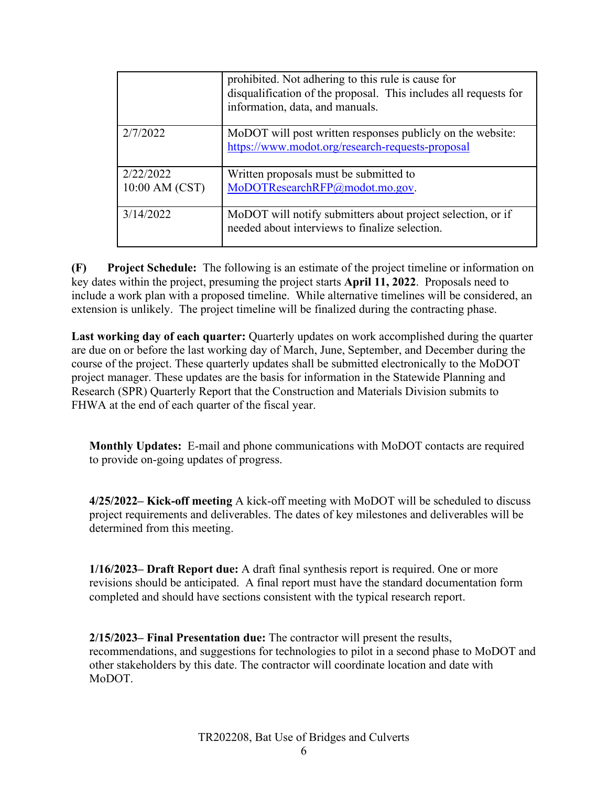|                | prohibited. Not adhering to this rule is cause for<br>disqualification of the proposal. This includes all requests for<br>information, data, and manuals. |
|----------------|-----------------------------------------------------------------------------------------------------------------------------------------------------------|
| 2/7/2022       | MoDOT will post written responses publicly on the website:<br>https://www.modot.org/research-requests-proposal                                            |
| 2/22/2022      | Written proposals must be submitted to                                                                                                                    |
| 10:00 AM (CST) | MoDOTResearchRFP@modot.mo.gov.                                                                                                                            |
| 3/14/2022      | MoDOT will notify submitters about project selection, or if<br>needed about interviews to finalize selection.                                             |

<span id="page-6-0"></span>**(F) Project Schedule:** The following is an estimate of the project timeline or information on key dates within the project, presuming the project starts **April 11, 2022**. Proposals need to include a work plan with a proposed timeline. While alternative timelines will be considered, an extension is unlikely. The project timeline will be finalized during the contracting phase.

**Last working day of each quarter:** Quarterly updates on work accomplished during the quarter are due on or before the last working day of March, June, September, and December during the course of the project. These quarterly updates shall be submitted electronically to the MoDOT project manager. These updates are the basis for information in the Statewide Planning and Research (SPR) Quarterly Report that the Construction and Materials Division submits to FHWA at the end of each quarter of the fiscal year.

<span id="page-6-1"></span>**Monthly Updates:** E-mail and phone communications with MoDOT contacts are required to provide on-going updates of progress.

**4/25/2022– Kick-off meeting** A kick-off meeting with MoDOT will be scheduled to discuss project requirements and deliverables. The dates of key milestones and deliverables will be determined from this meeting.

**1/16/2023– Draft Report due:** A draft final synthesis report is required. One or more revisions should be anticipated. A final report must have the standard documentation form completed and should have sections consistent with the typical research report.

**2/15/2023– Final Presentation due:** The contractor will present the results, recommendations, and suggestions for technologies to pilot in a second phase to MoDOT and other stakeholders by this date. The contractor will coordinate location and date with MoDOT.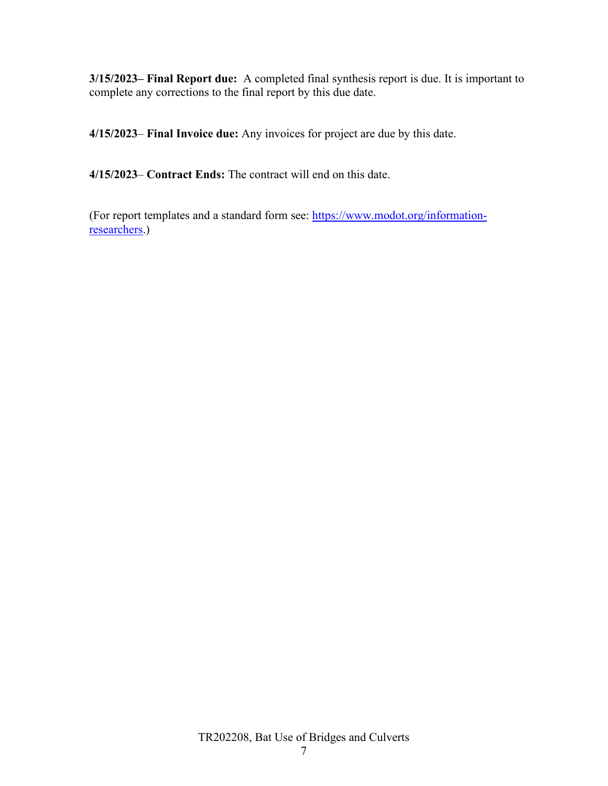**3/15/2023– Final Report due:** A completed final synthesis report is due. It is important to complete any corrections to the final report by this due date.

**4/15/2023**– **Final Invoice due:** Any invoices for project are due by this date.

**4/15/2023**– **Contract Ends:** The contract will end on this date.

(For report templates and a standard form see: [https://www.modot.org/information](https://www.modot.org/information-researchers)[researchers.](https://www.modot.org/information-researchers))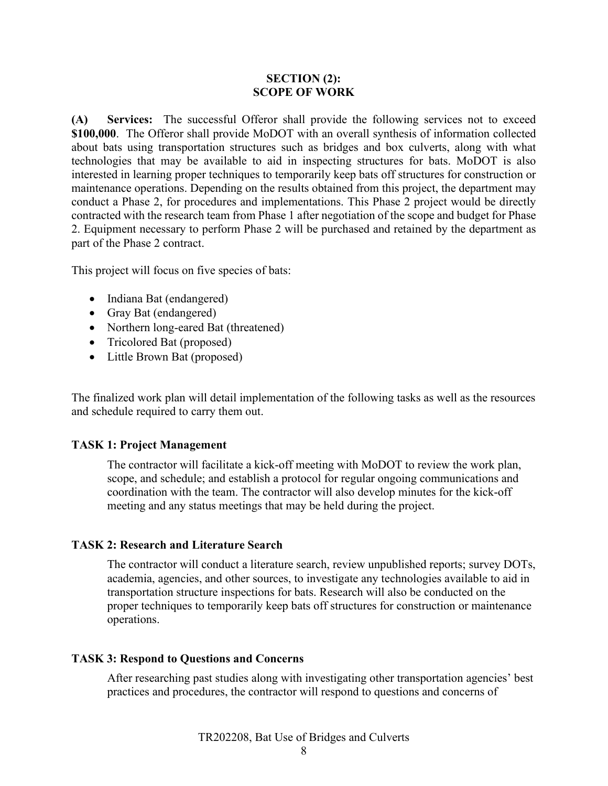#### **SECTION (2): SCOPE OF WORK**

<span id="page-8-1"></span><span id="page-8-0"></span>**(A) Services:** The successful Offeror shall provide the following services not to exceed **\$100,000**. The Offeror shall provide MoDOT with an overall synthesis of information collected about bats using transportation structures such as bridges and box culverts, along with what technologies that may be available to aid in inspecting structures for bats. MoDOT is also interested in learning proper techniques to temporarily keep bats off structures for construction or maintenance operations. Depending on the results obtained from this project, the department may conduct a Phase 2, for procedures and implementations. This Phase 2 project would be directly contracted with the research team from Phase 1 after negotiation of the scope and budget for Phase 2. Equipment necessary to perform Phase 2 will be purchased and retained by the department as part of the Phase 2 contract.

This project will focus on five species of bats:

- Indiana Bat (endangered)
- Gray Bat (endangered)
- Northern long-eared Bat (threatened)
- Tricolored Bat (proposed)
- Little Brown Bat (proposed)

The finalized work plan will detail implementation of the following tasks as well as the resources and schedule required to carry them out.

#### **TASK 1: Project Management**

The contractor will facilitate a kick-off meeting with MoDOT to review the work plan, scope, and schedule; and establish a protocol for regular ongoing communications and coordination with the team. The contractor will also develop minutes for the kick-off meeting and any status meetings that may be held during the project.

#### **TASK 2: Research and Literature Search**

The contractor will conduct a literature search, review unpublished reports; survey DOTs, academia, agencies, and other sources, to investigate any technologies available to aid in transportation structure inspections for bats. Research will also be conducted on the proper techniques to temporarily keep bats off structures for construction or maintenance operations.

#### **TASK 3: Respond to Questions and Concerns**

After researching past studies along with investigating other transportation agencies' best practices and procedures, the contractor will respond to questions and concerns of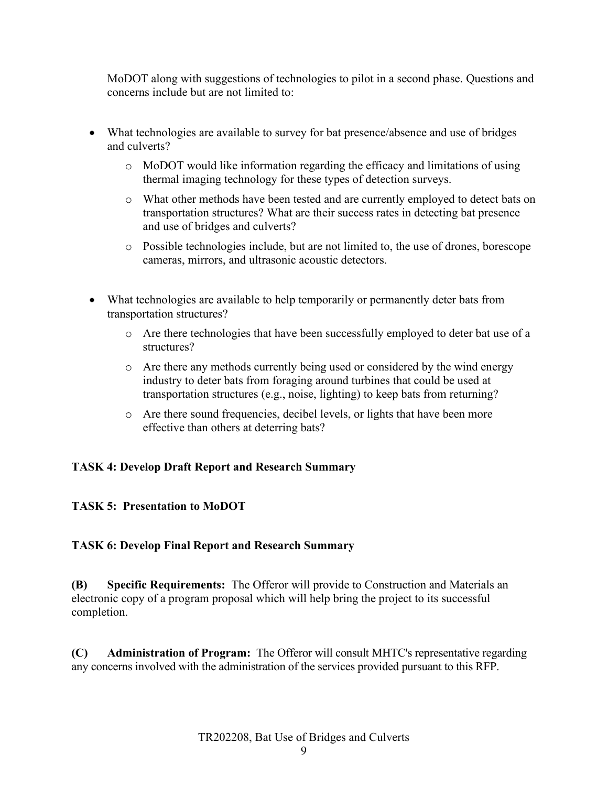MoDOT along with suggestions of technologies to pilot in a second phase. Questions and concerns include but are not limited to:

- What technologies are available to survey for bat presence/absence and use of bridges and culverts?
	- o MoDOT would like information regarding the efficacy and limitations of using thermal imaging technology for these types of detection surveys.
	- o What other methods have been tested and are currently employed to detect bats on transportation structures? What are their success rates in detecting bat presence and use of bridges and culverts?
	- o Possible technologies include, but are not limited to, the use of drones, borescope cameras, mirrors, and ultrasonic acoustic detectors.
- What technologies are available to help temporarily or permanently deter bats from transportation structures?
	- o Are there technologies that have been successfully employed to deter bat use of a structures?
	- o Are there any methods currently being used or considered by the wind energy industry to deter bats from foraging around turbines that could be used at transportation structures (e.g., noise, lighting) to keep bats from returning?
	- o Are there sound frequencies, decibel levels, or lights that have been more effective than others at deterring bats?

#### **TASK 4: Develop Draft Report and Research Summary**

#### **TASK 5: Presentation to MoDOT**

#### **TASK 6: Develop Final Report and Research Summary**

<span id="page-9-0"></span>**(B) Specific Requirements:** The Offeror will provide to Construction and Materials an electronic copy of a program proposal which will help bring the project to its successful completion.

<span id="page-9-1"></span>**(C) Administration of Program:** The Offeror will consult MHTC's representative regarding any concerns involved with the administration of the services provided pursuant to this RFP.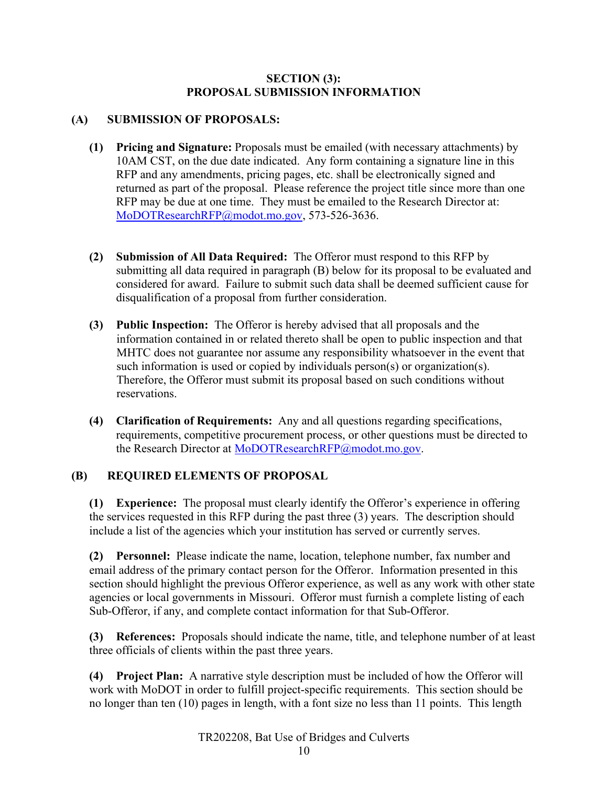#### **SECTION (3): PROPOSAL SUBMISSION INFORMATION**

#### <span id="page-10-1"></span><span id="page-10-0"></span>**(A) SUBMISSION OF PROPOSALS:**

- <span id="page-10-2"></span>**(1) Pricing and Signature:** Proposals must be emailed (with necessary attachments) by 10AM CST, on the due date indicated. Any form containing a signature line in this RFP and any amendments, pricing pages, etc. shall be electronically signed and returned as part of the proposal. Please reference the project title since more than one RFP may be due at one time. They must be emailed to the Research Director at: [MoDOTResearchRFP@modot.mo.gov,](mailto:MoDOTResearchRFP@modot.mo.gov) 573-526-3636.
- <span id="page-10-3"></span>**(2) Submission of All Data Required:** The Offeror must respond to this RFP by submitting all data required in paragraph (B) below for its proposal to be evaluated and considered for award. Failure to submit such data shall be deemed sufficient cause for disqualification of a proposal from further consideration.
- <span id="page-10-4"></span>**(3) Public Inspection:** The Offeror is hereby advised that all proposals and the information contained in or related thereto shall be open to public inspection and that MHTC does not guarantee nor assume any responsibility whatsoever in the event that such information is used or copied by individuals person(s) or organization(s). Therefore, the Offeror must submit its proposal based on such conditions without reservations.
- <span id="page-10-5"></span>**(4) Clarification of Requirements:** Any and all questions regarding specifications, requirements, competitive procurement process, or other questions must be directed to the Research Director at [MoDOTResearchRFP@modot.mo.gov.](mailto:MoDOTResearchRFP@modot.mo.gov)

#### <span id="page-10-6"></span>**(B) REQUIRED ELEMENTS OF PROPOSAL**

<span id="page-10-7"></span>**(1) Experience:** The proposal must clearly identify the Offeror's experience in offering the services requested in this RFP during the past three (3) years. The description should include a list of the agencies which your institution has served or currently serves.

<span id="page-10-8"></span>**(2) Personnel:** Please indicate the name, location, telephone number, fax number and email address of the primary contact person for the Offeror. Information presented in this section should highlight the previous Offeror experience, as well as any work with other state agencies or local governments in Missouri. Offeror must furnish a complete listing of each Sub-Offeror, if any, and complete contact information for that Sub-Offeror.

<span id="page-10-9"></span>**(3) References:** Proposals should indicate the name, title, and telephone number of at least three officials of clients within the past three years.

<span id="page-10-10"></span>**(4) Project Plan:** A narrative style description must be included of how the Offeror will work with MoDOT in order to fulfill project-specific requirements. This section should be no longer than ten (10) pages in length, with a font size no less than 11 points. This length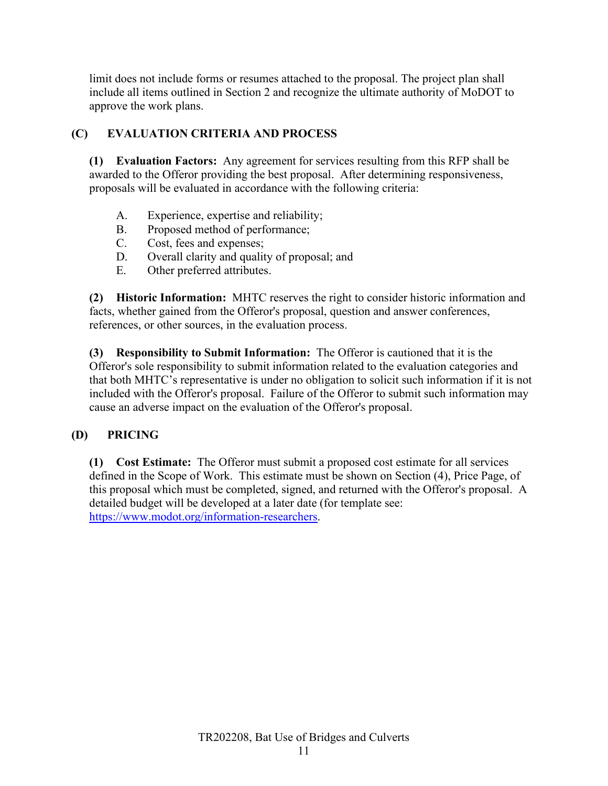limit does not include forms or resumes attached to the proposal. The project plan shall include all items outlined in Section 2 and recognize the ultimate authority of MoDOT to approve the work plans.

## <span id="page-11-0"></span>**(C) EVALUATION CRITERIA AND PROCESS**

<span id="page-11-1"></span>**(1) Evaluation Factors:** Any agreement for services resulting from this RFP shall be awarded to the Offeror providing the best proposal. After determining responsiveness, proposals will be evaluated in accordance with the following criteria:

- A. Experience, expertise and reliability;
- B. Proposed method of performance;
- C. Cost, fees and expenses;
- D. Overall clarity and quality of proposal; and
- E. Other preferred attributes.

<span id="page-11-2"></span>**(2) Historic Information:** MHTC reserves the right to consider historic information and facts, whether gained from the Offeror's proposal, question and answer conferences, references, or other sources, in the evaluation process.

<span id="page-11-3"></span>**(3) Responsibility to Submit Information:** The Offeror is cautioned that it is the Offeror's sole responsibility to submit information related to the evaluation categories and that both MHTC's representative is under no obligation to solicit such information if it is not included with the Offeror's proposal. Failure of the Offeror to submit such information may cause an adverse impact on the evaluation of the Offeror's proposal.

## <span id="page-11-4"></span>**(D) PRICING**

<span id="page-11-5"></span>**(1) Cost Estimate:** The Offeror must submit a proposed cost estimate for all services defined in the Scope of Work. This estimate must be shown on Section (4), Price Page, of this proposal which must be completed, signed, and returned with the Offeror's proposal. A detailed budget will be developed at a later date (for template see: [https://www.modot.org/information-researchers.](https://www.modot.org/information-researchers)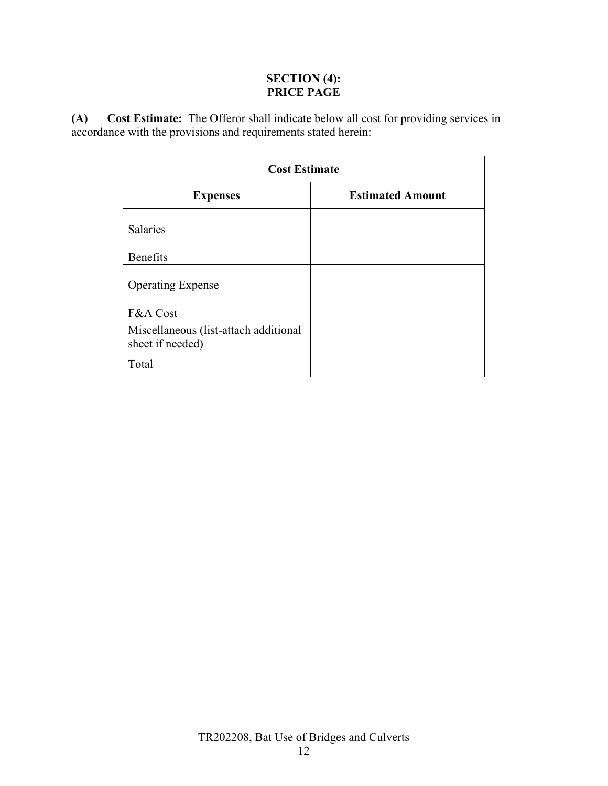### **SECTION (4): PRICE PAGE**

<span id="page-12-1"></span><span id="page-12-0"></span>**(A) Cost Estimate:** The Offeror shall indicate below all cost for providing services in accordance with the provisions and requirements stated herein:

| <b>Cost Estimate</b>                                      |                         |  |  |
|-----------------------------------------------------------|-------------------------|--|--|
| <b>Expenses</b>                                           | <b>Estimated Amount</b> |  |  |
| <b>Salaries</b>                                           |                         |  |  |
| <b>Benefits</b>                                           |                         |  |  |
| <b>Operating Expense</b>                                  |                         |  |  |
| F&A Cost                                                  |                         |  |  |
| Miscellaneous (list-attach additional<br>sheet if needed) |                         |  |  |
| Total                                                     |                         |  |  |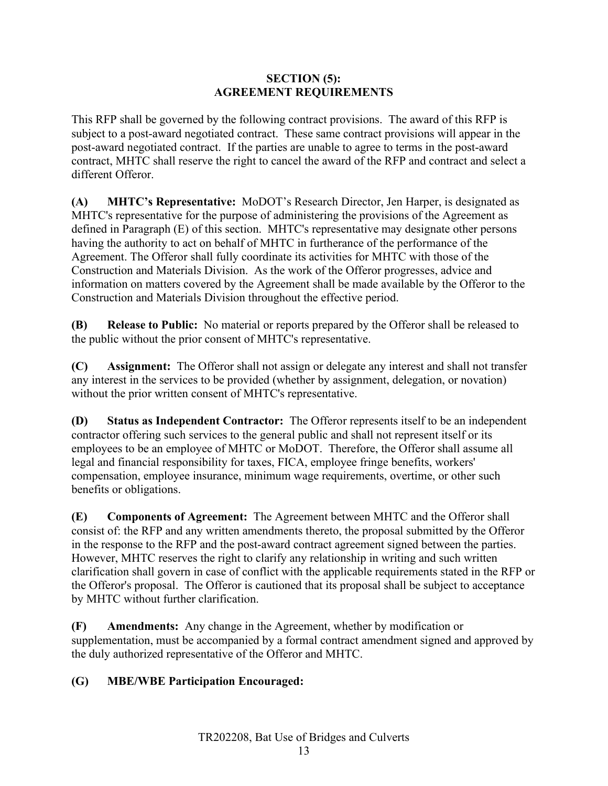#### **SECTION (5): AGREEMENT REQUIREMENTS**

<span id="page-13-0"></span>This RFP shall be governed by the following contract provisions. The award of this RFP is subject to a post-award negotiated contract. These same contract provisions will appear in the post-award negotiated contract. If the parties are unable to agree to terms in the post-award contract, MHTC shall reserve the right to cancel the award of the RFP and contract and select a different Offeror.

<span id="page-13-1"></span>**(A) MHTC's Representative:** MoDOT's Research Director, Jen Harper, is designated as MHTC's representative for the purpose of administering the provisions of the Agreement as defined in Paragraph (E) of this section. MHTC's representative may designate other persons having the authority to act on behalf of MHTC in furtherance of the performance of the Agreement. The Offeror shall fully coordinate its activities for MHTC with those of the Construction and Materials Division. As the work of the Offeror progresses, advice and information on matters covered by the Agreement shall be made available by the Offeror to the Construction and Materials Division throughout the effective period.

<span id="page-13-2"></span>**(B) Release to Public:** No material or reports prepared by the Offeror shall be released to the public without the prior consent of MHTC's representative.

<span id="page-13-3"></span>**(C) Assignment:** The Offeror shall not assign or delegate any interest and shall not transfer any interest in the services to be provided (whether by assignment, delegation, or novation) without the prior written consent of MHTC's representative.

<span id="page-13-4"></span>**(D) Status as Independent Contractor:** The Offeror represents itself to be an independent contractor offering such services to the general public and shall not represent itself or its employees to be an employee of MHTC or MoDOT. Therefore, the Offeror shall assume all legal and financial responsibility for taxes, FICA, employee fringe benefits, workers' compensation, employee insurance, minimum wage requirements, overtime, or other such benefits or obligations.

<span id="page-13-5"></span>**(E) Components of Agreement:** The Agreement between MHTC and the Offeror shall consist of: the RFP and any written amendments thereto, the proposal submitted by the Offeror in the response to the RFP and the post-award contract agreement signed between the parties. However, MHTC reserves the right to clarify any relationship in writing and such written clarification shall govern in case of conflict with the applicable requirements stated in the RFP or the Offeror's proposal. The Offeror is cautioned that its proposal shall be subject to acceptance by MHTC without further clarification.

<span id="page-13-6"></span>**(F) Amendments:** Any change in the Agreement, whether by modification or supplementation, must be accompanied by a formal contract amendment signed and approved by the duly authorized representative of the Offeror and MHTC.

## <span id="page-13-7"></span>**(G) MBE/WBE Participation Encouraged:**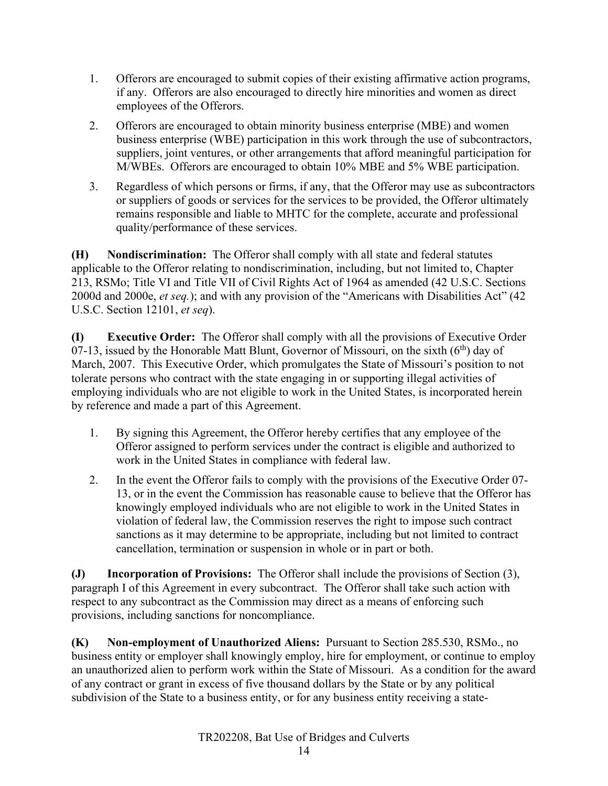- 1. Offerors are encouraged to submit copies of their existing affirmative action programs, if any. Offerors are also encouraged to directly hire minorities and women as direct employees of the Offerors.
- 2. Offerors are encouraged to obtain minority business enterprise (MBE) and women business enterprise (WBE) participation in this work through the use of subcontractors, suppliers, joint ventures, or other arrangements that afford meaningful participation for M/WBEs. Offerors are encouraged to obtain 10% MBE and 5% WBE participation.
- 3. Regardless of which persons or firms, if any, that the Offeror may use as subcontractors or suppliers of goods or services for the services to be provided, the Offeror ultimately remains responsible and liable to MHTC for the complete, accurate and professional quality/performance of these services.

<span id="page-14-0"></span>**(H) Nondiscrimination:** The Offeror shall comply with all state and federal statutes applicable to the Offeror relating to nondiscrimination, including, but not limited to, Chapter 213, RSMo; Title VI and Title VII of Civil Rights Act of 1964 as amended (42 U.S.C. Sections 2000d and 2000e, *et seq.*); and with any provision of the "Americans with Disabilities Act" (42 U.S.C. Section 12101, *et seq*).

<span id="page-14-1"></span>**(I) Executive Order:** The Offeror shall comply with all the provisions of Executive Order 07-13, issued by the Honorable Matt Blunt, Governor of Missouri, on the sixth  $(6<sup>th</sup>)$  day of March, 2007. This Executive Order, which promulgates the State of Missouri's position to not tolerate persons who contract with the state engaging in or supporting illegal activities of employing individuals who are not eligible to work in the United States, is incorporated herein by reference and made a part of this Agreement.

- 1. By signing this Agreement, the Offeror hereby certifies that any employee of the Offeror assigned to perform services under the contract is eligible and authorized to work in the United States in compliance with federal law.
- 2. In the event the Offeror fails to comply with the provisions of the Executive Order 07- 13, or in the event the Commission has reasonable cause to believe that the Offeror has knowingly employed individuals who are not eligible to work in the United States in violation of federal law, the Commission reserves the right to impose such contract sanctions as it may determine to be appropriate, including but not limited to contract cancellation, termination or suspension in whole or in part or both.

<span id="page-14-2"></span>**(J) Incorporation of Provisions:** The Offeror shall include the provisions of Section (3), paragraph I of this Agreement in every subcontract. The Offeror shall take such action with respect to any subcontract as the Commission may direct as a means of enforcing such provisions, including sanctions for noncompliance.

<span id="page-14-3"></span>**(K) Non-employment of Unauthorized Aliens:** Pursuant to Section 285.530, RSMo., no business entity or employer shall knowingly employ, hire for employment, or continue to employ an unauthorized alien to perform work within the State of Missouri. As a condition for the award of any contract or grant in excess of five thousand dollars by the State or by any political subdivision of the State to a business entity, or for any business entity receiving a state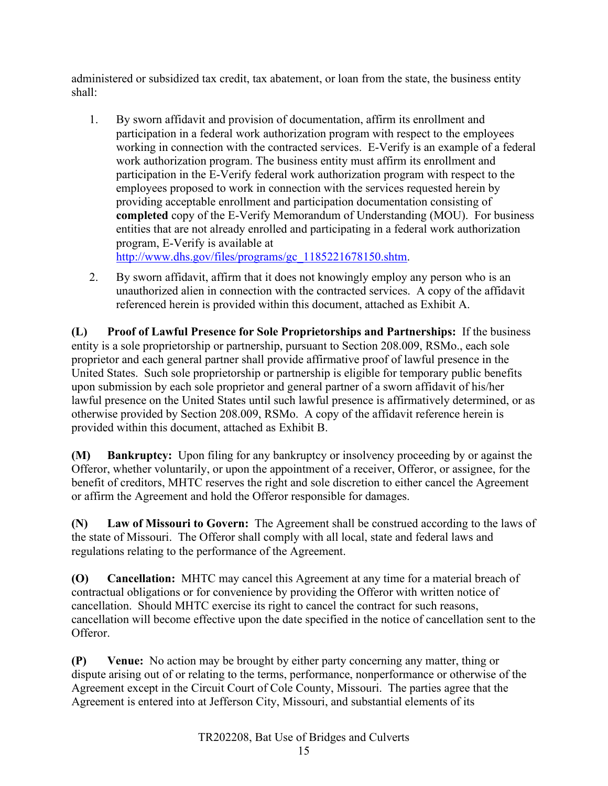administered or subsidized tax credit, tax abatement, or loan from the state, the business entity shall:

1. By sworn affidavit and provision of documentation, affirm its enrollment and participation in a federal work authorization program with respect to the employees working in connection with the contracted services. E-Verify is an example of a federal work authorization program. The business entity must affirm its enrollment and participation in the E-Verify federal work authorization program with respect to the employees proposed to work in connection with the services requested herein by providing acceptable enrollment and participation documentation consisting of **completed** copy of the E-Verify Memorandum of Understanding (MOU). For business entities that are not already enrolled and participating in a federal work authorization program, E-Verify is available at

[http://www.dhs.gov/files/programs/gc\\_1185221678150.shtm.](http://www.dhs.gov/files/programs/gc_1185221678150.shtm)

2. By sworn affidavit, affirm that it does not knowingly employ any person who is an unauthorized alien in connection with the contracted services. A copy of the affidavit referenced herein is provided within this document, attached as Exhibit A.

<span id="page-15-0"></span>**(L) Proof of Lawful Presence for Sole Proprietorships and Partnerships:** If the business entity is a sole proprietorship or partnership, pursuant to Section 208.009, RSMo., each sole proprietor and each general partner shall provide affirmative proof of lawful presence in the United States. Such sole proprietorship or partnership is eligible for temporary public benefits upon submission by each sole proprietor and general partner of a sworn affidavit of his/her lawful presence on the United States until such lawful presence is affirmatively determined, or as otherwise provided by Section 208.009, RSMo. A copy of the affidavit reference herein is provided within this document, attached as Exhibit B.

<span id="page-15-1"></span>**(M) Bankruptcy:** Upon filing for any bankruptcy or insolvency proceeding by or against the Offeror, whether voluntarily, or upon the appointment of a receiver, Offeror, or assignee, for the benefit of creditors, MHTC reserves the right and sole discretion to either cancel the Agreement or affirm the Agreement and hold the Offeror responsible for damages.

<span id="page-15-2"></span>**(N) Law of Missouri to Govern:** The Agreement shall be construed according to the laws of the state of Missouri. The Offeror shall comply with all local, state and federal laws and regulations relating to the performance of the Agreement.

<span id="page-15-3"></span>**(O) Cancellation:** MHTC may cancel this Agreement at any time for a material breach of contractual obligations or for convenience by providing the Offeror with written notice of cancellation. Should MHTC exercise its right to cancel the contract for such reasons, cancellation will become effective upon the date specified in the notice of cancellation sent to the Offeror.

<span id="page-15-4"></span>**(P) Venue:** No action may be brought by either party concerning any matter, thing or dispute arising out of or relating to the terms, performance, nonperformance or otherwise of the Agreement except in the Circuit Court of Cole County, Missouri. The parties agree that the Agreement is entered into at Jefferson City, Missouri, and substantial elements of its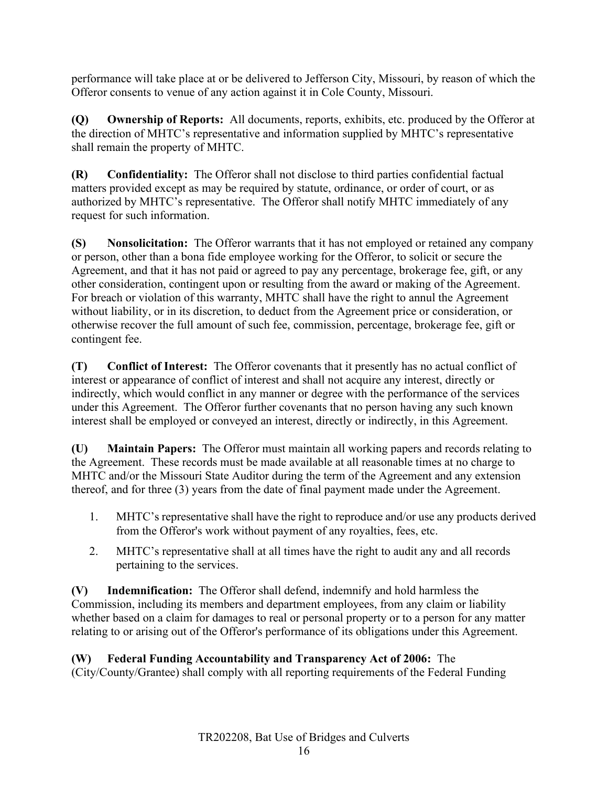performance will take place at or be delivered to Jefferson City, Missouri, by reason of which the Offeror consents to venue of any action against it in Cole County, Missouri.

<span id="page-16-0"></span>**(Q) Ownership of Reports:** All documents, reports, exhibits, etc. produced by the Offeror at the direction of MHTC's representative and information supplied by MHTC's representative shall remain the property of MHTC.

<span id="page-16-1"></span>**(R) Confidentiality:** The Offeror shall not disclose to third parties confidential factual matters provided except as may be required by statute, ordinance, or order of court, or as authorized by MHTC's representative. The Offeror shall notify MHTC immediately of any request for such information.

<span id="page-16-2"></span>**(S) Nonsolicitation:** The Offeror warrants that it has not employed or retained any company or person, other than a bona fide employee working for the Offeror, to solicit or secure the Agreement, and that it has not paid or agreed to pay any percentage, brokerage fee, gift, or any other consideration, contingent upon or resulting from the award or making of the Agreement. For breach or violation of this warranty, MHTC shall have the right to annul the Agreement without liability, or in its discretion, to deduct from the Agreement price or consideration, or otherwise recover the full amount of such fee, commission, percentage, brokerage fee, gift or contingent fee.

<span id="page-16-3"></span>**(T) Conflict of Interest:** The Offeror covenants that it presently has no actual conflict of interest or appearance of conflict of interest and shall not acquire any interest, directly or indirectly, which would conflict in any manner or degree with the performance of the services under this Agreement. The Offeror further covenants that no person having any such known interest shall be employed or conveyed an interest, directly or indirectly, in this Agreement.

<span id="page-16-4"></span>**(U) Maintain Papers:** The Offeror must maintain all working papers and records relating to the Agreement. These records must be made available at all reasonable times at no charge to MHTC and/or the Missouri State Auditor during the term of the Agreement and any extension thereof, and for three (3) years from the date of final payment made under the Agreement.

- 1. MHTC's representative shall have the right to reproduce and/or use any products derived from the Offeror's work without payment of any royalties, fees, etc.
- 2. MHTC's representative shall at all times have the right to audit any and all records pertaining to the services.

<span id="page-16-5"></span>**(V) Indemnification:** The Offeror shall defend, indemnify and hold harmless the Commission, including its members and department employees, from any claim or liability whether based on a claim for damages to real or personal property or to a person for any matter relating to or arising out of the Offeror's performance of its obligations under this Agreement.

# <span id="page-16-6"></span>**(W) Federal Funding Accountability and Transparency Act of 2006:** The

(City/County/Grantee) shall comply with all reporting requirements of the Federal Funding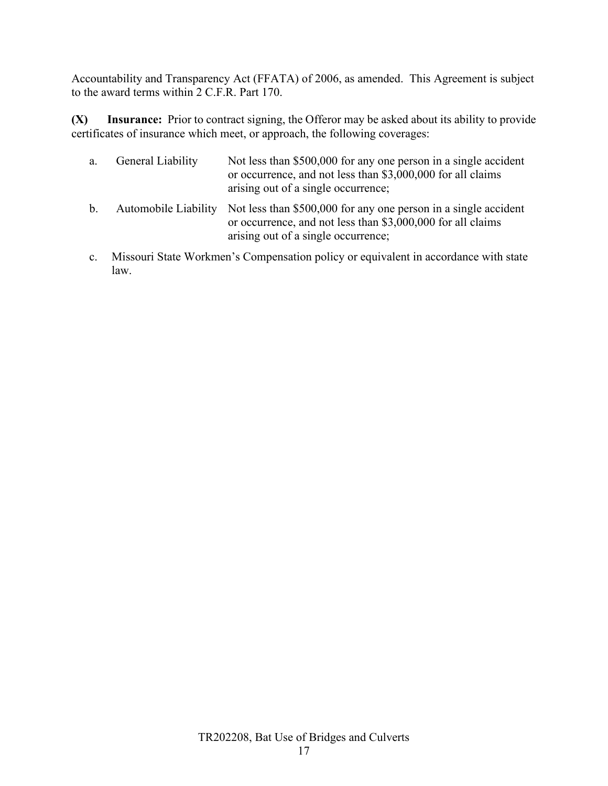Accountability and Transparency Act (FFATA) of 2006, as amended. This Agreement is subject to the award terms within 2 C.F.R. Part 170.

<span id="page-17-0"></span>**(X) Insurance:** Prior to contract signing, the Offeror may be asked about its ability to provide certificates of insurance which meet, or approach, the following coverages:

|    | a. General Liability | Not less than \$500,000 for any one person in a single accident<br>or occurrence, and not less than \$3,000,000 for all claims<br>arising out of a single occurrence; |
|----|----------------------|-----------------------------------------------------------------------------------------------------------------------------------------------------------------------|
| b. |                      | Automobile Liability Not less than \$500,000 for any one person in a single accident<br>or occurrence, and not less than \$3,000,000 for all claims                   |

c. Missouri State Workmen's Compensation policy or equivalent in accordance with state law.

arising out of a single occurrence;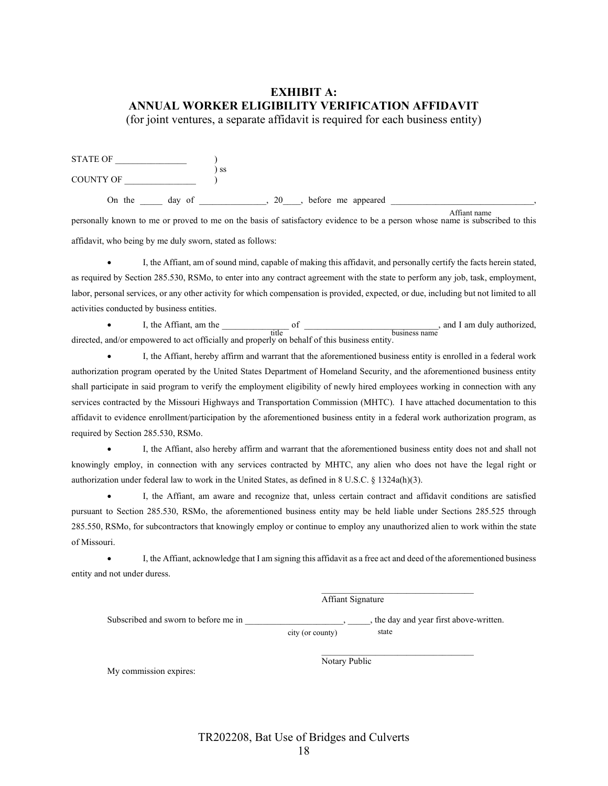# <span id="page-18-0"></span>**EXHIBIT A: ANNUAL WORKER ELIGIBILITY VERIFICATION AFFIDAVIT**

(for joint ventures, a separate affidavit is required for each business entity)

| <b>STATE OF</b>  |    |    |                    |                         |  |
|------------------|----|----|--------------------|-------------------------|--|
| <b>COUNTY OF</b> | SS |    |                    |                         |  |
| On the<br>day of |    | 20 | before me appeared | $\Lambda$ from t moment |  |

personally known to me or proved to me on the basis of satisfactory evidence to be a person whose name is subscribed to this Affiant name affidavit, who being by me duly sworn, stated as follows:

• I, the Affiant, am of sound mind, capable of making this affidavit, and personally certify the facts herein stated, as required by Section 285.530, RSMo, to enter into any contract agreement with the state to perform any job, task, employment, labor, personal services, or any other activity for which compensation is provided, expected, or due, including but not limited to all activities conducted by business entities.

I, the Affiant, am the  $\frac{1}{\text{title}}$  of  $\frac{1}{\text{title}}$ , and I am duly authorized, directed, and/or empowered to act officially and properly on behalf of this business entity. title business name

• I, the Affiant, hereby affirm and warrant that the aforementioned business entity is enrolled in a federal work authorization program operated by the United States Department of Homeland Security, and the aforementioned business entity shall participate in said program to verify the employment eligibility of newly hired employees working in connection with any services contracted by the Missouri Highways and Transportation Commission (MHTC). I have attached documentation to this affidavit to evidence enrollment/participation by the aforementioned business entity in a federal work authorization program, as required by Section 285.530, RSMo.

• I, the Affiant, also hereby affirm and warrant that the aforementioned business entity does not and shall not knowingly employ, in connection with any services contracted by MHTC, any alien who does not have the legal right or authorization under federal law to work in the United States, as defined in 8 U.S.C. § 1324a(h)(3).

• I, the Affiant, am aware and recognize that, unless certain contract and affidavit conditions are satisfied pursuant to Section 285.530, RSMo, the aforementioned business entity may be held liable under Sections 285.525 through 285.550, RSMo, for subcontractors that knowingly employ or continue to employ any unauthorized alien to work within the state of Missouri.

• I, the Affiant, acknowledge that I am signing this affidavit as a free act and deed of the aforementioned business entity and not under duress.

Affiant Signature

\_\_\_\_\_\_\_\_\_\_\_\_\_\_\_\_\_\_\_\_\_\_\_\_\_\_\_\_\_\_\_\_\_\_

\_\_\_\_\_\_\_\_\_\_\_\_\_\_\_\_\_\_\_\_\_\_\_\_\_\_\_\_\_\_\_\_\_\_

Subscribed and sworn to before me in  $\qquad \qquad$ , the day and year first above-written.

city (or county) state

My commission expires:

Notary Public